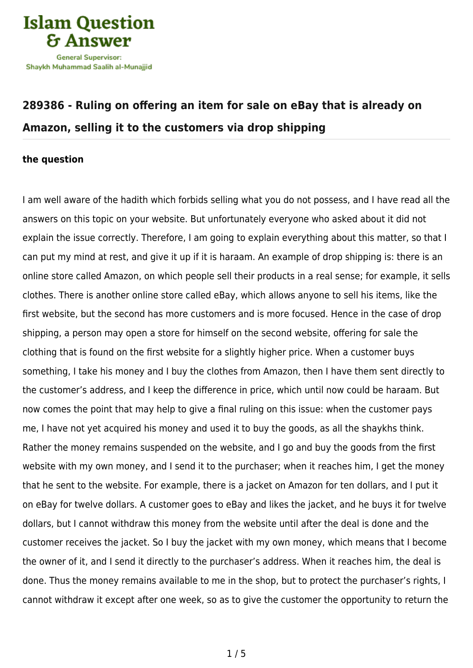

# **[289386 - Ruling on offering an item for sale on eBay that is already on](https://islamqa.com/en/answers/289386/ruling-on-offering-an-item-for-sale-on-ebay-that-is-already-on-amazon-selling-it-to-the-customers-via-drop-shipping) [Amazon, selling it to the customers via drop shipping](https://islamqa.com/en/answers/289386/ruling-on-offering-an-item-for-sale-on-ebay-that-is-already-on-amazon-selling-it-to-the-customers-via-drop-shipping)**

#### **the question**

I am well aware of the hadith which forbids selling what you do not possess, and I have read all the answers on this topic on your website. But unfortunately everyone who asked about it did not explain the issue correctly. Therefore, I am going to explain everything about this matter, so that I can put my mind at rest, and give it up if it is haraam. An example of drop shipping is: there is an online store called Amazon, on which people sell their products in a real sense; for example, it sells clothes. There is another online store called eBay, which allows anyone to sell his items, like the first website, but the second has more customers and is more focused. Hence in the case of drop shipping, a person may open a store for himself on the second website, offering for sale the clothing that is found on the first website for a slightly higher price. When a customer buys something, I take his money and I buy the clothes from Amazon, then I have them sent directly to the customer's address, and I keep the difference in price, which until now could be haraam. But now comes the point that may help to give a final ruling on this issue: when the customer pays me, I have not yet acquired his money and used it to buy the goods, as all the shaykhs think. Rather the money remains suspended on the website, and I go and buy the goods from the first website with my own money, and I send it to the purchaser; when it reaches him, I get the money that he sent to the website. For example, there is a jacket on Amazon for ten dollars, and I put it on eBay for twelve dollars. A customer goes to eBay and likes the jacket, and he buys it for twelve dollars, but I cannot withdraw this money from the website until after the deal is done and the customer receives the jacket. So I buy the jacket with my own money, which means that I become the owner of it, and I send it directly to the purchaser's address. When it reaches him, the deal is done. Thus the money remains available to me in the shop, but to protect the purchaser's rights, I cannot withdraw it except after one week, so as to give the customer the opportunity to return the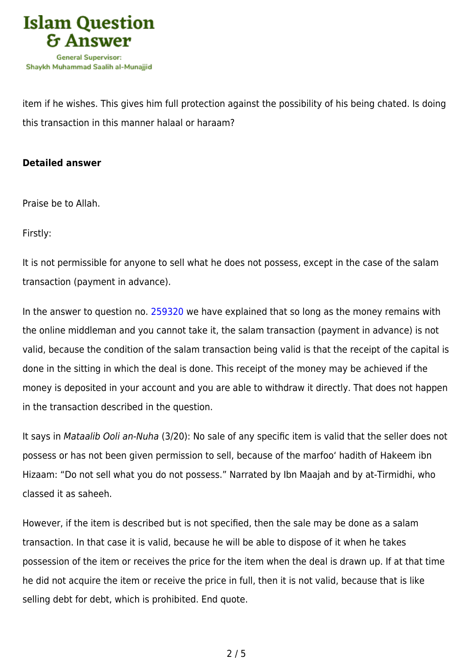

item if he wishes. This gives him full protection against the possibility of his being chated. Is doing this transaction in this manner halaal or haraam?

### **Detailed answer**

Praise be to Allah.

Firstly:

It is not permissible for anyone to sell what he does not possess, except in the case of the salam transaction (payment in advance).

In the answer to question no. [259320](https://islamqa.com/en/answers/259320) we have explained that so long as the money remains with the online middleman and you cannot take it, the salam transaction (payment in advance) is not valid, because the condition of the salam transaction being valid is that the receipt of the capital is done in the sitting in which the deal is done. This receipt of the money may be achieved if the money is deposited in your account and you are able to withdraw it directly. That does not happen in the transaction described in the question.

It says in Mataalib Ooli an-Nuha (3/20): No sale of any specific item is valid that the seller does not possess or has not been given permission to sell, because of the marfoo' hadith of Hakeem ibn Hizaam: "Do not sell what you do not possess." Narrated by Ibn Maajah and by at-Tirmidhi, who classed it as saheeh.

However, if the item is described but is not specified, then the sale may be done as a salam transaction. In that case it is valid, because he will be able to dispose of it when he takes possession of the item or receives the price for the item when the deal is drawn up. If at that time he did not acquire the item or receive the price in full, then it is not valid, because that is like selling debt for debt, which is prohibited. End quote.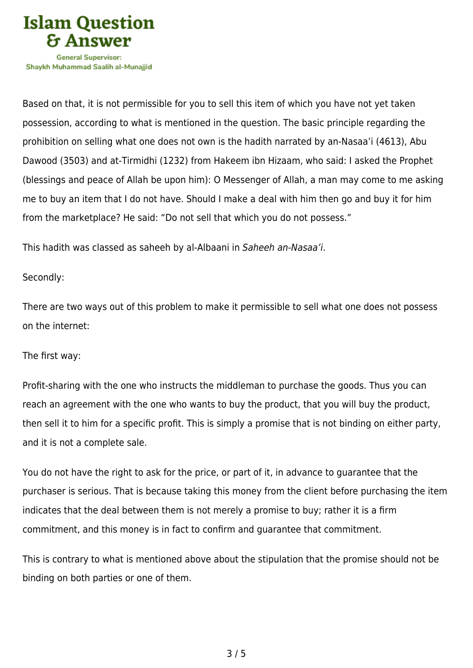

Shavkh Muhammad Saalih al-Munaiiid

Based on that, it is not permissible for you to sell this item of which you have not yet taken possession, according to what is mentioned in the question. The basic principle regarding the prohibition on selling what one does not own is the hadith narrated by an-Nasaa'i (4613), Abu Dawood (3503) and at-Tirmidhi (1232) from Hakeem ibn Hizaam, who said: I asked the Prophet (blessings and peace of Allah be upon him): O Messenger of Allah, a man may come to me asking me to buy an item that I do not have. Should I make a deal with him then go and buy it for him from the marketplace? He said: "Do not sell that which you do not possess."

This hadith was classed as saheeh by al-Albaani in Saheeh an-Nasaa'i.

## Secondly:

There are two ways out of this problem to make it permissible to sell what one does not possess on the internet:

### The first way:

Profit-sharing with the one who instructs the middleman to purchase the goods. Thus you can reach an agreement with the one who wants to buy the product, that you will buy the product, then sell it to him for a specific profit. This is simply a promise that is not binding on either party, and it is not a complete sale.

You do not have the right to ask for the price, or part of it, in advance to guarantee that the purchaser is serious. That is because taking this money from the client before purchasing the item indicates that the deal between them is not merely a promise to buy; rather it is a firm commitment, and this money is in fact to confirm and guarantee that commitment.

This is contrary to what is mentioned above about the stipulation that the promise should not be binding on both parties or one of them.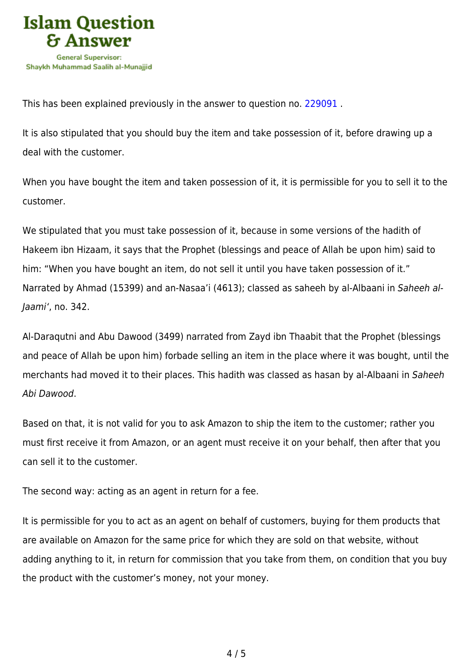

This has been explained previously in the answer to question no. [229091](https://islamqa.com/en/answers/229091) .

It is also stipulated that you should buy the item and take possession of it, before drawing up a deal with the customer.

When you have bought the item and taken possession of it, it is permissible for you to sell it to the customer.

We stipulated that you must take possession of it, because in some versions of the hadith of Hakeem ibn Hizaam, it says that the Prophet (blessings and peace of Allah be upon him) said to him: "When you have bought an item, do not sell it until you have taken possession of it." Narrated by Ahmad (15399) and an-Nasaa'i (4613); classed as saheeh by al-Albaani in Saheeh al-Jaami', no. 342.

Al-Daraqutni and Abu Dawood (3499) narrated from Zayd ibn Thaabit that the Prophet (blessings and peace of Allah be upon him) forbade selling an item in the place where it was bought, until the merchants had moved it to their places. This hadith was classed as hasan by al-Albaani in Saheeh Abi Dawood.

Based on that, it is not valid for you to ask Amazon to ship the item to the customer; rather you must first receive it from Amazon, or an agent must receive it on your behalf, then after that you can sell it to the customer.

The second way: acting as an agent in return for a fee.

It is permissible for you to act as an agent on behalf of customers, buying for them products that are available on Amazon for the same price for which they are sold on that website, without adding anything to it, in return for commission that you take from them, on condition that you buy the product with the customer's money, not your money.